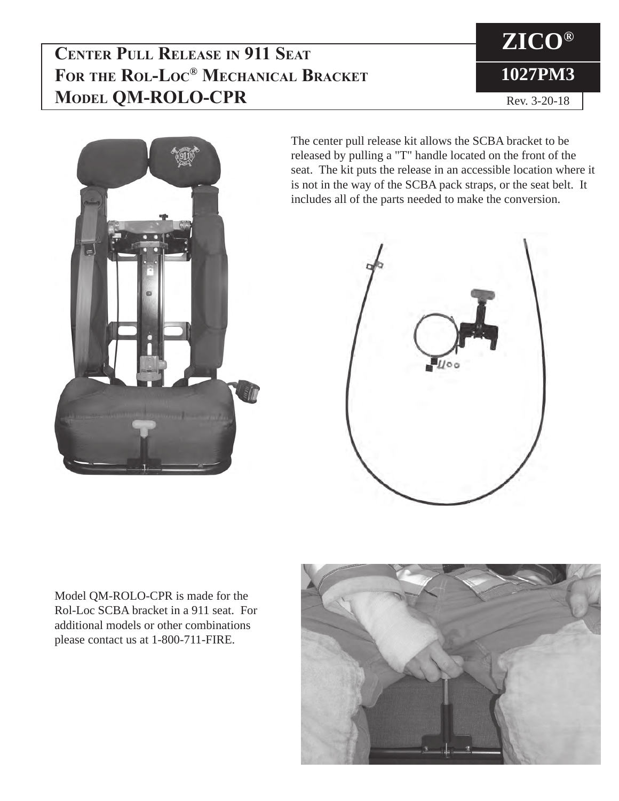## **Center Pull Release in 911 Seat For the Rol-Loc® Mechanical Bracket Model QM-ROLO-CPR**





The center pull release kit allows the SCBA bracket to be released by pulling a "T" handle located on the front of the seat. The kit puts the release in an accessible location where it is not in the way of the SCBA pack straps, or the seat belt. It includes all of the parts needed to make the conversion.



Model QM-ROLO-CPR is made for the Rol-Loc SCBA bracket in a 911 seat. For additional models or other combinations please contact us at 1-800-711-FIRE.

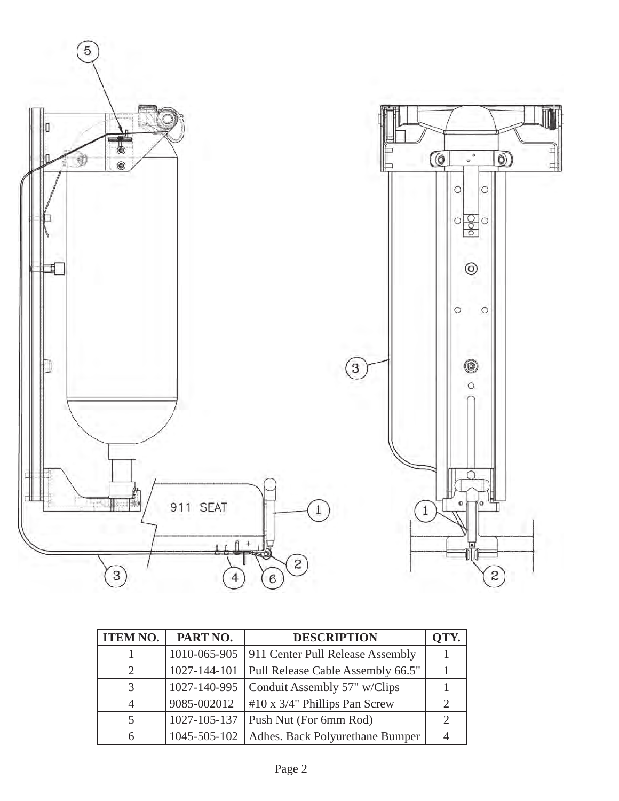

| <b>ITEM NO.</b>       | PART NO.     | <b>DESCRIPTION</b>                               | OTY. |
|-----------------------|--------------|--------------------------------------------------|------|
|                       |              | 1010-065-905   911 Center Pull Release Assembly  |      |
| $\mathcal{D}_{\cdot}$ |              | 1027-144-101   Pull Release Cable Assembly 66.5" |      |
| $\mathcal{R}$         |              | 1027-140-995 Conduit Assembly 57" w/Clips        |      |
|                       | 9085-002012  | $\#10 \times 3/4$ " Phillips Pan Screw           | 2    |
|                       | 1027-105-137 | Push Nut (For 6mm Rod)                           | 2    |
| 6                     |              | 1045-505-102   Adhes. Back Polyurethane Bumper   |      |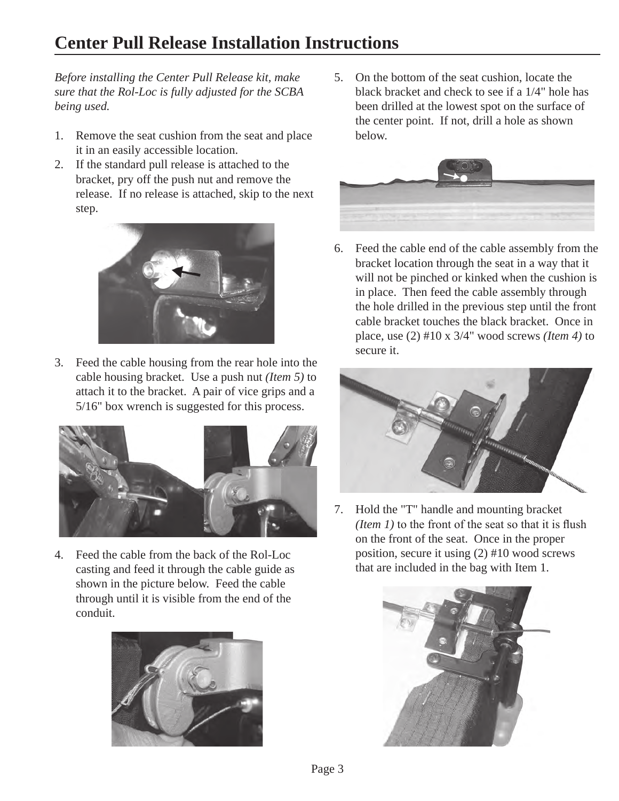## **Center Pull Release Installation Instructions**

*Before installing the Center Pull Release kit, make sure that the Rol-Loc is fully adjusted for the SCBA being used.*

- 1. Remove the seat cushion from the seat and place it in an easily accessible location.
- 2. If the standard pull release is attached to the bracket, pry off the push nut and remove the release. If no release is attached, skip to the next step.

![](_page_2_Picture_4.jpeg)

3. Feed the cable housing from the rear hole into the cable housing bracket. Use a push nut *(Item 5)* to attach it to the bracket. A pair of vice grips and a 5/16" box wrench is suggested for this process.

![](_page_2_Figure_6.jpeg)

4. Feed the cable from the back of the Rol-Loc casting and feed it through the cable guide as shown in the picture below. Feed the cable through until it is visible from the end of the conduit.

![](_page_2_Picture_8.jpeg)

5. On the bottom of the seat cushion, locate the black bracket and check to see if a 1/4" hole has been drilled at the lowest spot on the surface of the center point. If not, drill a hole as shown below.

![](_page_2_Figure_10.jpeg)

6. Feed the cable end of the cable assembly from the bracket location through the seat in a way that it will not be pinched or kinked when the cushion is in place. Then feed the cable assembly through the hole drilled in the previous step until the front cable bracket touches the black bracket. Once in place, use (2) #10 x 3/4" wood screws *(Item 4)* to secure it.

![](_page_2_Figure_12.jpeg)

7. Hold the "T" handle and mounting bracket *(Item 1)* to the front of the seat so that it is flush on the front of the seat. Once in the proper position, secure it using (2) #10 wood screws that are included in the bag with Item 1.

![](_page_2_Picture_14.jpeg)